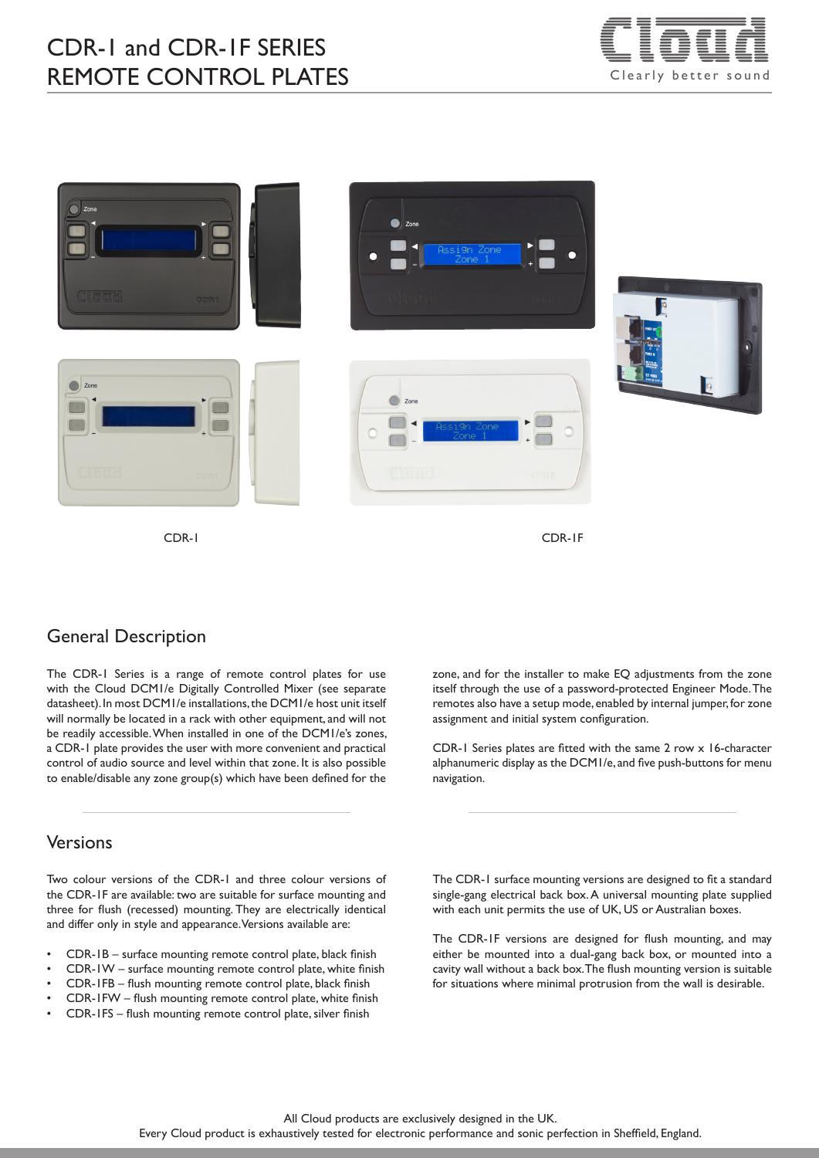# CDR-1 and CDR-1F SERIES REMOTE CONTROL PLATES





CDR-1 CDR-1F

## General Description

The CDR-1 Series is a range of remote control plates for use with the Cloud DCM1/e Digitally Controlled Mixer (see separate datasheet). In most DCM1/e installations, the DCM1/e host unit itself will normally be located in a rack with other equipment, and will not be readily accessible. When installed in one of the DCM1/e's zones, a CDR-1 plate provides the user with more convenient and practical control of audio source and level within that zone. It is also possible to enable/disable any zone group(s) which have been defined for the

### Versions

Two colour versions of the CDR-1 and three colour versions of the CDR-1F are available: two are suitable for surface mounting and three for flush (recessed) mounting. They are electrically identical and differ only in style and appearance. Versions available are:

- CDR-1B surface mounting remote control plate, black finish
- CDR-1W surface mounting remote control plate, white finish
- CDR-1FB flush mounting remote control plate, black finish
- CDR-1FW flush mounting remote control plate, white finish
- CDR-1FS flush mounting remote control plate, silver finish

zone, and for the installer to make EQ adjustments from the zone itself through the use of a password-protected Engineer Mode. The remotes also have a setup mode, enabled by internal jumper, for zone assignment and initial system configuration.

CDR-1 Series plates are fitted with the same 2 row x 16-character alphanumeric display as the DCM1/e, and five push-buttons for menu navigation.

The CDR-1 surface mounting versions are designed to fit a standard single-gang electrical back box. A universal mounting plate supplied with each unit permits the use of UK, US or Australian boxes.

The CDR-1F versions are designed for flush mounting, and may either be mounted into a dual-gang back box, or mounted into a cavity wall without a back box. The flush mounting version is suitable for situations where minimal protrusion from the wall is desirable.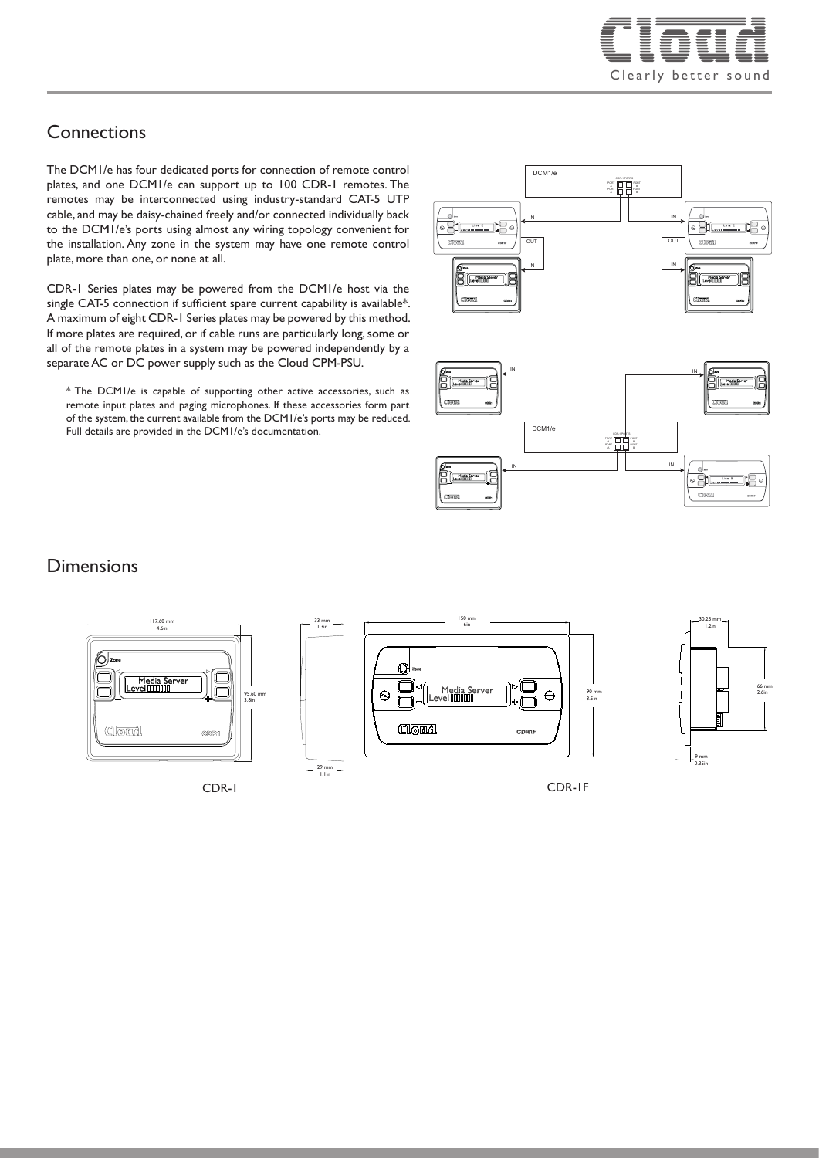

## **Connections**

The DCM1/e has four dedicated ports for connection of remote control plates, and one DCM1/e can support up to 100 CDR-1 remotes. The remotes may be interconnected using industry-standard CAT-5 UTP cable, and may be daisy-chained freely and/or connected individually back to the DCM1/e's ports using almost any wiring topology convenient for the installation. Any zone in the system may have one remote control plate, more than one, or none at all.

CDR-1 Series plates may be powered from the DCM1/e host via the single CAT-5 connection if sufficient spare current capability is available\*. A maximum of eight CDR-1 Series plates may be powered by this method. If more plates are required, or if cable runs are particularly long, some or all of the remote plates in a system may be powered independently by a separate AC or DC power supply such as the Cloud CPM-PSU.

\* The DCM1/e is capable of supporting other active accessories, such as remote input plates and paging microphones. If these accessories form part of the system, the current available from the DCM1/e's ports may be reduced. Full details are provided in the DCM1/e's documentation.

33.00 33 mm 1.3in

1.1in





## **Dimensions**







CDR-1 CDR-1F